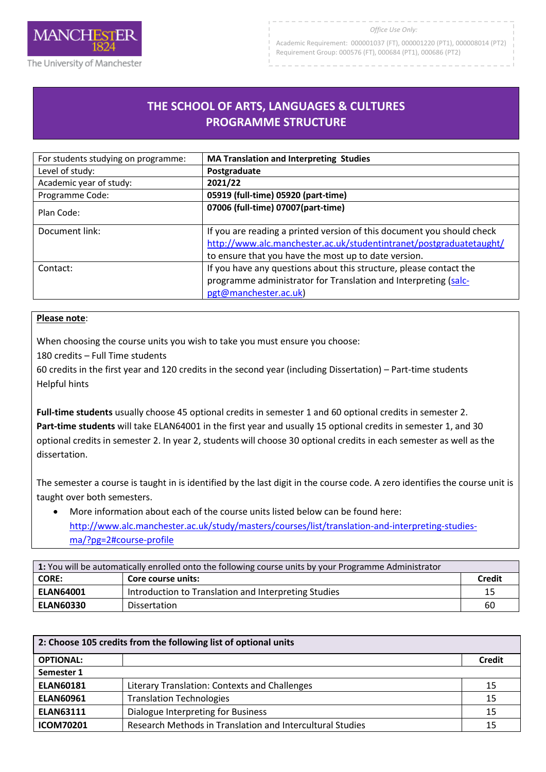

Academic Requirement: 000001037 (FT), 000001220 (PT1), 000008014 (PT2) Requirement Group: 000576 (FT), 000684 (PT1), 000686 (PT2)

## **THE SCHOOL OF ARTS, LANGUAGES & CULTURES PROGRAMME STRUCTURE**

R

| For students studying on programme: | <b>MA Translation and Interpreting Studies</b>                                                                                                                                                        |
|-------------------------------------|-------------------------------------------------------------------------------------------------------------------------------------------------------------------------------------------------------|
| Level of study:                     | Postgraduate                                                                                                                                                                                          |
| Academic year of study:             | 2021/22                                                                                                                                                                                               |
| Programme Code:                     | 05919 (full-time) 05920 (part-time)                                                                                                                                                                   |
| Plan Code:                          | 07006 (full-time) 07007(part-time)                                                                                                                                                                    |
| Document link:                      | If you are reading a printed version of this document you should check<br>http://www.alc.manchester.ac.uk/studentintranet/postgraduatetaught/<br>to ensure that you have the most up to date version. |
| Contact:                            | If you have any questions about this structure, please contact the<br>programme administrator for Translation and Interpreting (salc-<br>pgt@manchester.ac.uk)                                        |

## **Please note**:

When choosing the course units you wish to take you must ensure you choose:

180 credits – Full Time students

60 credits in the first year and 120 credits in the second year (including Dissertation) – Part-time students Helpful hints

**Full-time students** usually choose 45 optional credits in semester 1 and 60 optional credits in semester 2. **Part-time students** will take ELAN64001 in the first year and usually 15 optional credits in semester 1, and 30 optional credits in semester 2. In year 2, students will choose 30 optional credits in each semester as well as the dissertation.

The semester a course is taught in is identified by the last digit in the course code. A zero identifies the course unit is taught over both semesters.

 More information about each of the course units listed below can be found here: [http://www.alc.manchester.ac.uk/study/masters/courses/list/translation-and-interpreting-studies](http://www.alc.manchester.ac.uk/study/masters/courses/list/translation-and-interpreting-studies-ma/?pg=2#course-profile)[ma/?pg=2#course-profile](http://www.alc.manchester.ac.uk/study/masters/courses/list/translation-and-interpreting-studies-ma/?pg=2#course-profile)

| 1: You will be automatically enrolled onto the following course units by your Programme Administrator |                                                      |               |
|-------------------------------------------------------------------------------------------------------|------------------------------------------------------|---------------|
| <b>CORE:</b>                                                                                          | Core course units:                                   | <b>Credit</b> |
| <b>ELAN64001</b>                                                                                      | Introduction to Translation and Interpreting Studies | 15            |
| <b>ELAN60330</b>                                                                                      | <b>Dissertation</b>                                  | 60            |

| 2: Choose 105 credits from the following list of optional units |                                                           |               |
|-----------------------------------------------------------------|-----------------------------------------------------------|---------------|
| <b>OPTIONAL:</b>                                                |                                                           | <b>Credit</b> |
| Semester 1                                                      |                                                           |               |
| <b>ELAN60181</b>                                                | Literary Translation: Contexts and Challenges             | 15            |
| <b>ELAN60961</b>                                                | <b>Translation Technologies</b>                           | 15            |
| <b>ELAN63111</b>                                                | Dialogue Interpreting for Business                        | 15            |
| <b>ICOM70201</b>                                                | Research Methods in Translation and Intercultural Studies | 15            |